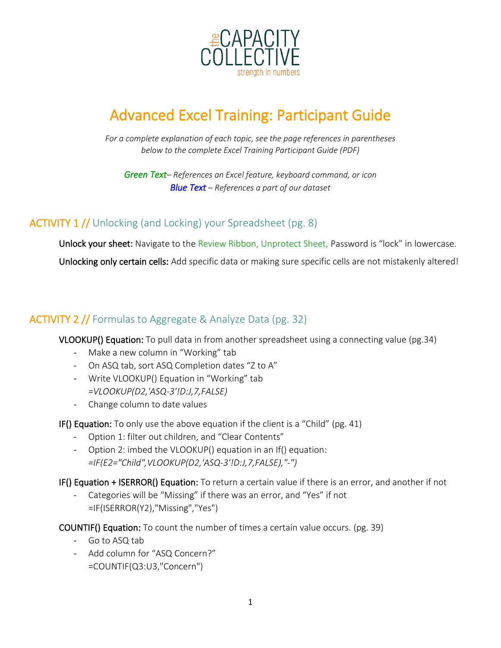

# Advanced Excel Training: Participant Guide

*For a complete explanation of each topic, see the page references in parentheses below to the complete Excel Training Participant Guide (PDF)*

*Green Text– References an Excel feature, keyboard command, or icon Blue Text – References a part of our dataset*

## ACTIVITY 1 // Unlocking (and Locking) your Spreadsheet (pg. 8)

Unlock your sheet: Navigate to the Review Ribbon, Unprotect Sheet, Password is "lock" in lowercase.

Unlocking only certain cells: Add specific data or making sure specific cells are not mistakenly altered!

## ACTIVITY 2 // Formulas to Aggregate & Analyze Data (pg. 32)

VLOOKUP() Equation: To pull data in from another spreadsheet using a connecting value (pg.34)

- Make a new column in "Working" tab
- On ASQ tab, sort ASQ Completion dates "Z to A"
- Write VLOOKUP() Equation in "Working" tab *=VLOOKUP(D2,'ASQ-3'!D:J,7,FALSE)*
- Change column to date values

IF() Equation: To only use the above equation if the client is a "Child" (pg. 41)

- Option 1: filter out children, and "Clear Contents"
- Option 2: imbed the VLOOKUP() equation in an If() equation: *=IF(E2="Child",VLOOKUP(D2,'ASQ-3'!D:J,7,FALSE),"-")*

IF() Equation + ISERROR() Equation: To return a certain value if there is an error, and another if not

Categories will be "Missing" if there was an error, and "Yes" if not =IF(ISERROR(Y2),"Missing","Yes")

COUNTIF() Equation: To count the number of times a certain value occurs. (pg. 39)

- Go to ASQ tab
- Add column for "ASQ Concern?" =COUNTIF(Q3:U3,"Concern")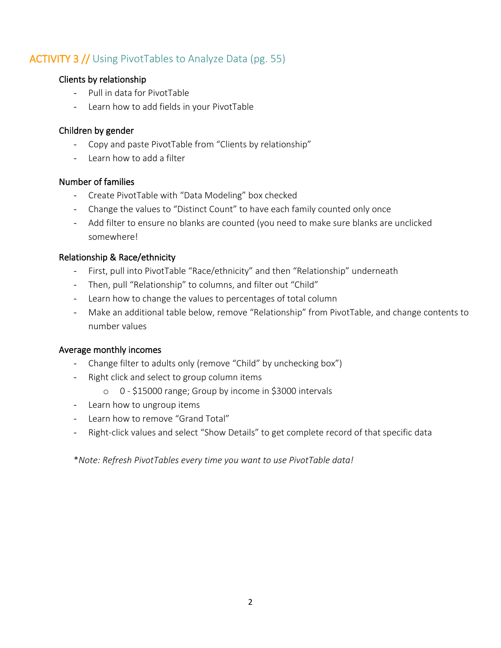# ACTIVITY 3 // Using PivotTables to Analyze Data (pg. 55)

#### Clients by relationship

- Pull in data for PivotTable
- Learn how to add fields in your PivotTable

#### Children by gender

- Copy and paste PivotTable from "Clients by relationship"
- Learn how to add a filter

#### Number of families

- Create PivotTable with "Data Modeling" box checked
- Change the values to "Distinct Count" to have each family counted only once
- Add filter to ensure no blanks are counted (you need to make sure blanks are unclicked somewhere!

#### Relationship & Race/ethnicity

- First, pull into PivotTable "Race/ethnicity" and then "Relationship" underneath
- Then, pull "Relationship" to columns, and filter out "Child"
- Learn how to change the values to percentages of total column
- Make an additional table below, remove "Relationship" from PivotTable, and change contents to number values

#### Average monthly incomes

- Change filter to adults only (remove "Child" by unchecking box")
- Right click and select to group column items
	- o 0 \$15000 range; Group by income in \$3000 intervals
- Learn how to ungroup items
- Learn how to remove "Grand Total"
- Right-click values and select "Show Details" to get complete record of that specific data

\**Note: Refresh PivotTables every time you want to use PivotTable data!*